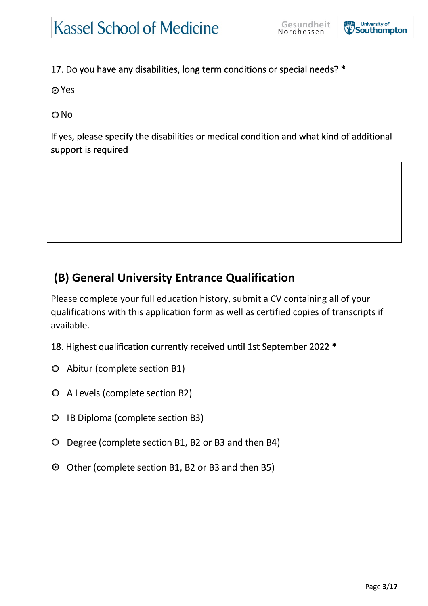$\circ$  $\circ$ 

 $\circ$  $\circ$  $\circ$ 

 $\circ$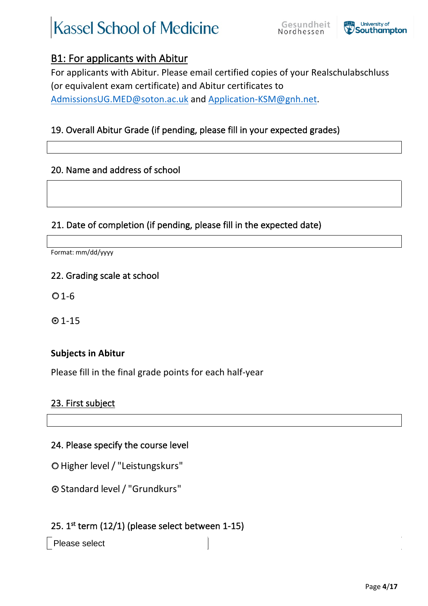$\circ$ 

 $\bullet$ 

 $\circ$ 

 $\circ$ 

Please select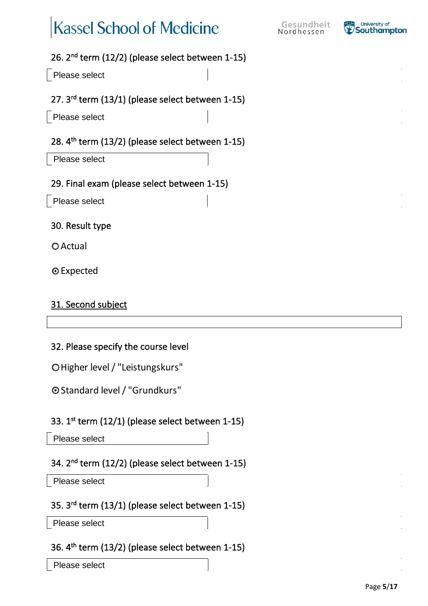Please select

Please select

Please select

 $\bullet$ 

 $\circ$ 

 $\circ$ 

 $\circ$ 

Please select

Please select

Please select

Please select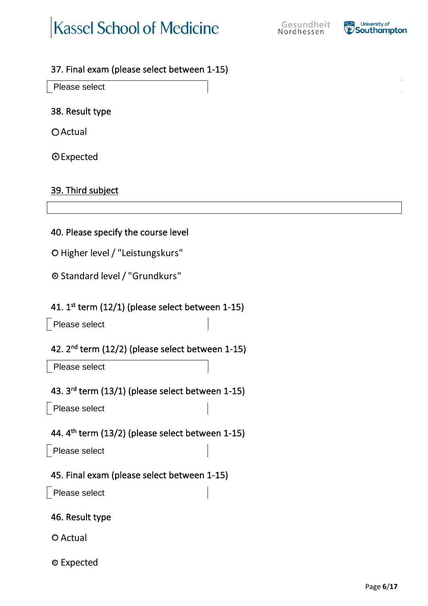$\circ$ 

 $\circ$ 

 $\circ$  $\circ$ 

Please select

Please select

Please select

Please select

Please select

 $\bullet$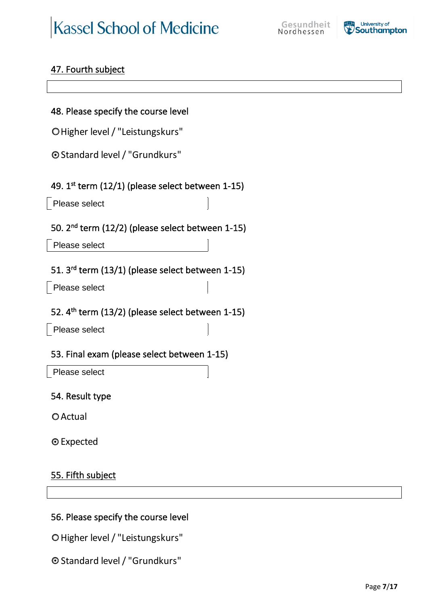$\circ$  $\circ$ 

Please select

Please select

Please select

Please select

Please select

 $\circ$ 

 $\circ$ 

 $\bullet$ 

 $\bullet$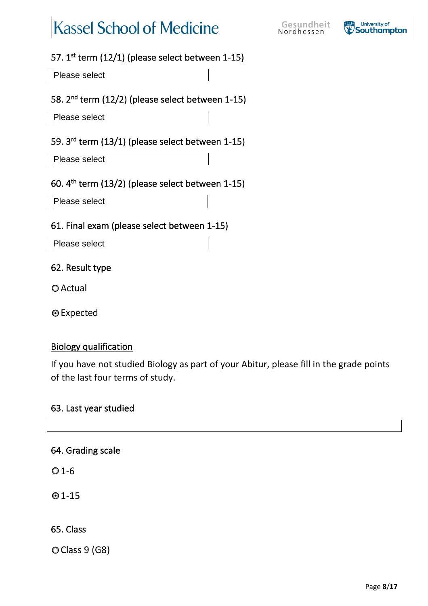Please select

Please select

Please select

Please select

 $\bullet$ 

 $\bullet$ 

 $\circ$  $\circ$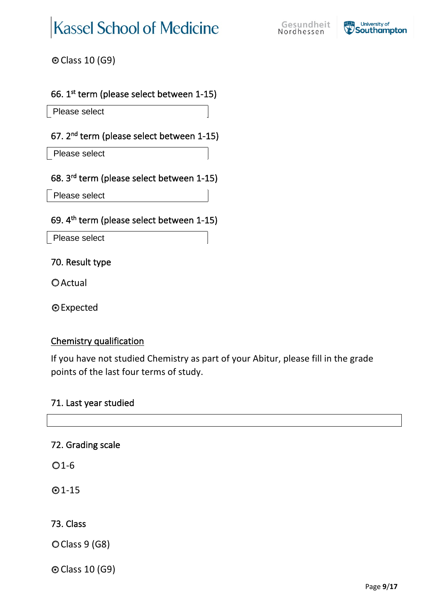### $\bullet$

Please select

Please select

Please select

Please select

 $\circ$ 

 $\circ$ 

 $\bullet$ 

| $\bigcirc$ |  |  |  |
|------------|--|--|--|
| $\bigcirc$ |  |  |  |
|            |  |  |  |
| $\circ$    |  |  |  |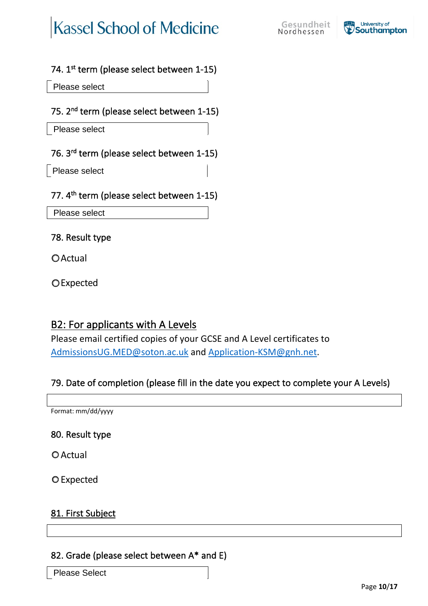Please select

Please select

Please select

 $\circ$ 

 $\bigcirc$ 

 $\circ$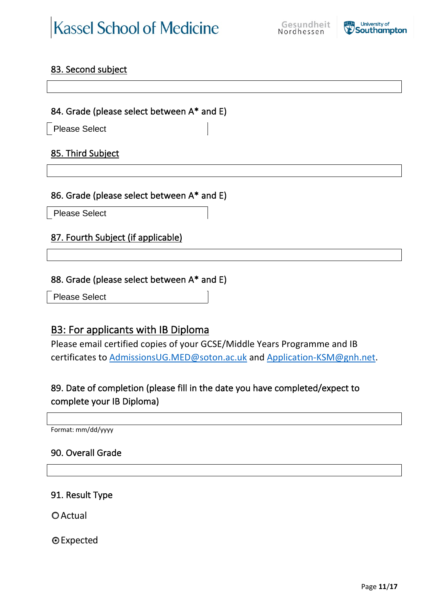**Please Select** 

**Please Select** 

 $\circ$  $\circ$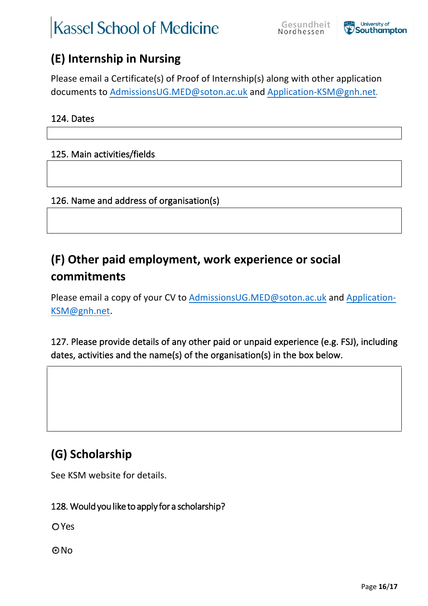## **Kassel School of Medicine**



 $!6#$  +' /&(' 4<0?\$0' \$@9(40';

Please email a Certificate(s) of Proof of Internship(s) along with other application documents to AdmissionsUG.MED@soton.ac.uk and Application-KSM@gnh.net5

 $\mathbf{m}$ 

### 125. Main activities/fields

126. Name and address of organisation(s)

 $1A# B/<\&($ \$?) 0C\$&. ?\*-5. &' /D\$E-(F\$&G?&(0&' 7&\$-(\$4-70)\*  $7 - 1$   $\frac{1}{2}$   $\frac{1}{2}$   $\frac{1}{4}$ 

Please email a copy of your CV to AdmissionsUG.MED@soton.ac.uk and Application-KSM@gnh.net.

127. Please provide details of any other paid or unpaid experience (e.g. FSJ), including dates, activities and the name(s) of the organisation(s) in the box below.

See KSM website for details<sup>a</sup>

128. Would you like to apply for a scholarship?

**O**Yes

 $ONO$